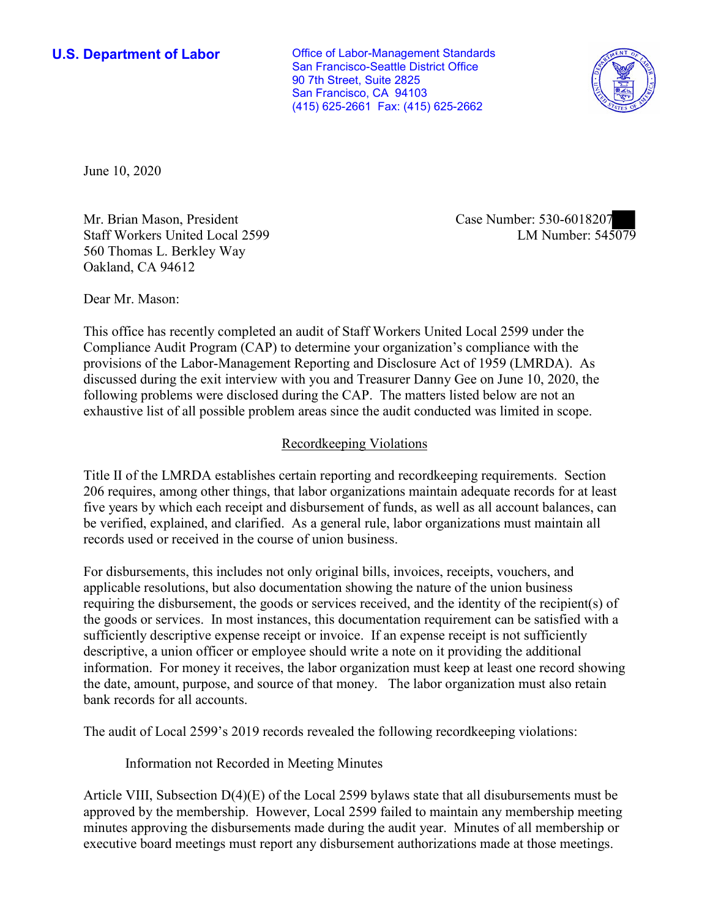**U.S. Department of Labor Conservative Conservative Conservative Conservative U.S.** Department of Labor San Francisco-Seattle District Office 90 7th Street, Suite 2825 San Francisco, CA 94103 (415) 625-2661 Fax: (415) 625-2662



June 10, 2020

Mr. Brian Mason, President Case Number: 530-6018207 Staff Workers United Local 2599 560 Thomas L. Berkley Way Oakland, CA 94612

LM Number: 545079

Dear Mr. Mason:

 This office has recently completed an audit of Staff Workers United Local 2599 under the Compliance Audit Program (CAP) to determine your organization's compliance with the provisions of the Labor-Management Reporting and Disclosure Act of 1959 (LMRDA). As discussed during the exit interview with you and Treasurer Danny Gee on June 10, 2020, the following problems were disclosed during the CAP. The matters listed below are not an exhaustive list of all possible problem areas since the audit conducted was limited in scope.

## Recordkeeping Violations

 Title II of the LMRDA establishes certain reporting and recordkeeping requirements. Section 206 requires, among other things, that labor organizations maintain adequate records for at least five years by which each receipt and disbursement of funds, as well as all account balances, can be verified, explained, and clarified. As a general rule, labor organizations must maintain all records used or received in the course of union business.

For disbursements, this includes not only original bills, invoices, receipts, vouchers, and applicable resolutions, but also documentation showing the nature of the union business requiring the disbursement, the goods or services received, and the identity of the recipient(s) of the goods or services. In most instances, this documentation requirement can be satisfied with a sufficiently descriptive expense receipt or invoice. If an expense receipt is not sufficiently descriptive, a union officer or employee should write a note on it providing the additional information. For money it receives, the labor organization must keep at least one record showing the date, amount, purpose, and source of that money. The labor organization must also retain bank records for all accounts.

The audit of Local 2599's 2019 records revealed the following recordkeeping violations:

Information not Recorded in Meeting Minutes

Article VIII, Subsection  $D(4)(E)$  of the Local 2599 bylaws state that all disubursements must be approved by the membership. However, Local 2599 failed to maintain any membership meeting minutes approving the disbursements made during the audit year. Minutes of all membership or executive board meetings must report any disbursement authorizations made at those meetings.